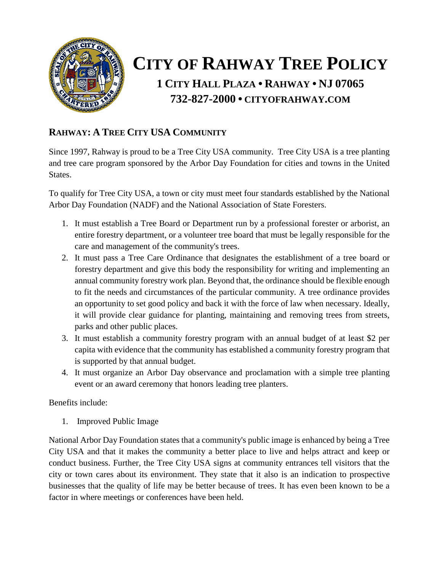

# **CITY OF RAHWAY TREE POLICY 1 CITY HALL PLAZA • RAHWAY • NJ 07065 732-827-2000 • CITYOFRAHWAY.COM**

## **RAHWAY: A TREE CITY USA COMMUNITY**

Since 1997, Rahway is proud to be a Tree City USA community. Tree City USA is a tree planting and tree care program sponsored by the Arbor Day Foundation for cities and towns in the United States.

To qualify for Tree City USA, a town or city must meet four standards established by the National Arbor Day Foundation (NADF) and the National Association of State Foresters.

- 1. It must establish a Tree Board or Department run by a professional forester or arborist, an entire forestry department, or a volunteer tree board that must be legally responsible for the care and management of the community's trees.
- 2. It must pass a Tree Care Ordinance that designates the establishment of a tree board or forestry department and give this body the responsibility for writing and implementing an annual community forestry work plan. Beyond that, the ordinance should be flexible enough to fit the needs and circumstances of the particular community. A tree ordinance provides an opportunity to set good policy and back it with the force of law when necessary. Ideally, it will provide clear guidance for planting, maintaining and removing trees from streets, parks and other public places.
- 3. It must establish a community forestry program with an annual budget of at least \$2 per capita with evidence that the community has established a community forestry program that is supported by that annual budget.
- 4. It must organize an Arbor Day observance and proclamation with a simple tree planting event or an award ceremony that honors leading tree planters.

#### Benefits include:

1. Improved Public Image

National Arbor Day Foundation states that a community's public image is enhanced by being a Tree City USA and that it makes the community a better place to live and helps attract and keep or conduct business. Further, the Tree City USA signs at community entrances tell visitors that the city or town cares about its environment. They state that it also is an indication to prospective businesses that the quality of life may be better because of trees. It has even been known to be a factor in where meetings or conferences have been held.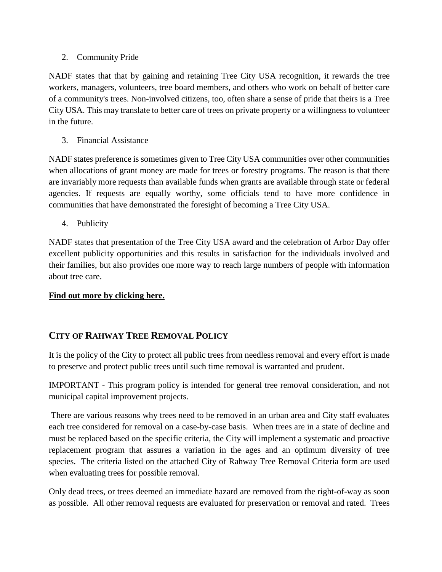#### 2. Community Pride

NADF states that that by gaining and retaining Tree City USA recognition, it rewards the tree workers, managers, volunteers, tree board members, and others who work on behalf of better care of a community's trees. Non-involved citizens, too, often share a sense of pride that theirs is a Tree City USA. This may translate to better care of trees on private property or a willingness to volunteer in the future.

3. Financial Assistance

NADF states preference is sometimes given to Tree City USA communities over other communities when allocations of grant money are made for trees or forestry programs. The reason is that there are invariably more requests than available funds when grants are available through state or federal agencies. If requests are equally worthy, some officials tend to have more confidence in communities that have demonstrated the foresight of becoming a Tree City USA.

4. Publicity

NADF states that presentation of the Tree City USA award and the celebration of Arbor Day offer excellent publicity opportunities and this results in satisfaction for the individuals involved and their families, but also provides one more way to reach large numbers of people with information about tree care.

### **[Find out more by clicking here.](https://www.arborday.org/programs/treeCityUSA/about.cfm)**

### **CITY OF RAHWAY TREE REMOVAL POLICY**

It is the policy of the City to protect all public trees from needless removal and every effort is made to preserve and protect public trees until such time removal is warranted and prudent.

IMPORTANT - This program policy is intended for general tree removal consideration, and not municipal capital improvement projects.

There are various reasons why trees need to be removed in an urban area and City staff evaluates each tree considered for removal on a case-by-case basis. When trees are in a state of decline and must be replaced based on the specific criteria, the City will implement a systematic and proactive replacement program that assures a variation in the ages and an optimum diversity of tree species. The criteria listed on the attached City of Rahway Tree Removal Criteria form are used when evaluating trees for possible removal.

Only dead trees, or trees deemed an immediate hazard are removed from the right-of-way as soon as possible. All other removal requests are evaluated for preservation or removal and rated. Trees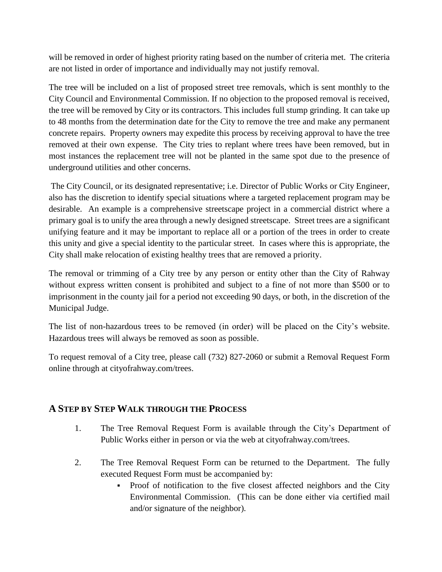will be removed in order of highest priority rating based on the number of criteria met. The criteria are not listed in order of importance and individually may not justify removal.

The tree will be included on a list of proposed street tree removals, which is sent monthly to the City Council and Environmental Commission. If no objection to the proposed removal is received, the tree will be removed by City or its contractors. This includes full stump grinding. It can take up to 48 months from the determination date for the City to remove the tree and make any permanent concrete repairs. Property owners may expedite this process by receiving approval to have the tree removed at their own expense. The City tries to replant where trees have been removed, but in most instances the replacement tree will not be planted in the same spot due to the presence of underground utilities and other concerns.

The City Council, or its designated representative; i.e. Director of Public Works or City Engineer, also has the discretion to identify special situations where a targeted replacement program may be desirable. An example is a comprehensive streetscape project in a commercial district where a primary goal is to unify the area through a newly designed streetscape. Street trees are a significant unifying feature and it may be important to replace all or a portion of the trees in order to create this unity and give a special identity to the particular street. In cases where this is appropriate, the City shall make relocation of existing healthy trees that are removed a priority.

The removal or trimming of a City tree by any person or entity other than the City of Rahway without express written consent is prohibited and subject to a fine of not more than \$500 or to imprisonment in the county jail for a period not exceeding 90 days, or both, in the discretion of the Municipal Judge.

The list of non-hazardous trees to be removed (in order) will be placed on the City's website. Hazardous trees will always be removed as soon as possible.

To request removal of a City tree, please call (732) 827-2060 or submit a Removal Request Form online through at cityofrahway.com/trees.

### **A STEP BY STEP WALK THROUGH THE PROCESS**

- 1. The Tree Removal Request Form is available through the City's Department of Public Works either in person or via the web at cityofrahway.com/trees.
- 2. The Tree Removal Request Form can be returned to the Department. The fully executed Request Form must be accompanied by:
	- Proof of notification to the five closest affected neighbors and the City Environmental Commission. (This can be done either via certified mail and/or signature of the neighbor).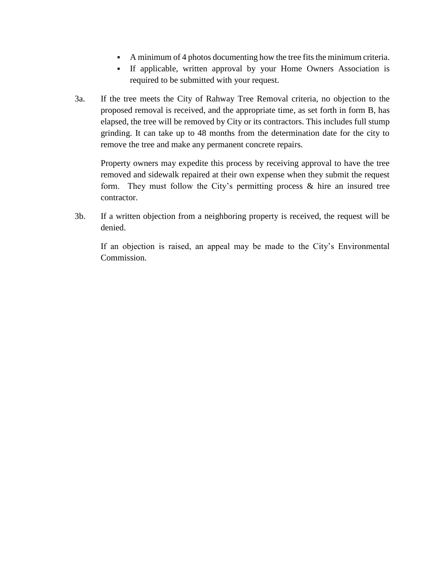- A minimum of 4 photos documenting how the tree fits the minimum criteria.
- If applicable, written approval by your Home Owners Association is required to be submitted with your request.
- 3a. If the tree meets the City of Rahway Tree Removal criteria, no objection to the proposed removal is received, and the appropriate time, as set forth in form B, has elapsed, the tree will be removed by City or its contractors. This includes full stump grinding. It can take up to 48 months from the determination date for the city to remove the tree and make any permanent concrete repairs.

Property owners may expedite this process by receiving approval to have the tree removed and sidewalk repaired at their own expense when they submit the request form. They must follow the City's permitting process  $\&$  hire an insured tree contractor.

3b. If a written objection from a neighboring property is received, the request will be denied.

If an objection is raised, an appeal may be made to the City's Environmental Commission.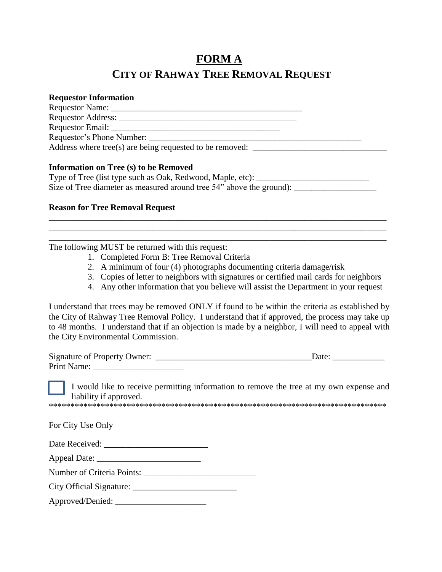# **FORM A CITY OF RAHWAY TREE REMOVAL REQUEST**

#### **Requestor Information**

| Requestor Name:                                                                                                                                                                                                                |  |
|--------------------------------------------------------------------------------------------------------------------------------------------------------------------------------------------------------------------------------|--|
|                                                                                                                                                                                                                                |  |
| Requestor Email: Neglisland Contract Contract Contract Contract Contract Contract Contract Contract Contract Contract Contract Contract Contract Contract Contract Contract Contract Contract Contract Contract Contract Contr |  |
| Requestor's Phone Number:                                                                                                                                                                                                      |  |
| Address where tree(s) are being requested to be removed: $\Box$                                                                                                                                                                |  |
|                                                                                                                                                                                                                                |  |

#### **Information on Tree (s) to be Removed**

| Type of Tree (list type such as Oak, Redwood, Maple, etc):           |  |
|----------------------------------------------------------------------|--|
| Size of Tree diameter as measured around tree 54" above the ground): |  |

#### **Reason for Tree Removal Request**

The following MUST be returned with this request:

- 1. Completed Form B: Tree Removal Criteria
- 2. A minimum of four (4) photographs documenting criteria damage/risk

\_\_\_\_\_\_\_\_\_\_\_\_\_\_\_\_\_\_\_\_\_\_\_\_\_\_\_\_\_\_\_\_\_\_\_\_\_\_\_\_\_\_\_\_\_\_\_\_\_\_\_\_\_\_\_\_\_\_\_\_\_\_\_\_\_\_\_\_\_\_\_\_\_\_\_\_\_\_ \_\_\_\_\_\_\_\_\_\_\_\_\_\_\_\_\_\_\_\_\_\_\_\_\_\_\_\_\_\_\_\_\_\_\_\_\_\_\_\_\_\_\_\_\_\_\_\_\_\_\_\_\_\_\_\_\_\_\_\_\_\_\_\_\_\_\_\_\_\_\_\_\_\_\_\_\_\_ \_\_\_\_\_\_\_\_\_\_\_\_\_\_\_\_\_\_\_\_\_\_\_\_\_\_\_\_\_\_\_\_\_\_\_\_\_\_\_\_\_\_\_\_\_\_\_\_\_\_\_\_\_\_\_\_\_\_\_\_\_\_\_\_\_\_\_\_\_\_\_\_\_\_\_\_\_\_

- 3. Copies of letter to neighbors with signatures or certified mail cards for neighbors
- 4. Any other information that you believe will assist the Department in your request

I understand that trees may be removed ONLY if found to be within the criteria as established by the City of Rahway Tree Removal Policy. I understand that if approved, the process may take up to 48 months. I understand that if an objection is made by a neighbor, I will need to appeal with the City Environmental Commission.

| <b>Signature of Property Owner:</b> | Jate |  |
|-------------------------------------|------|--|
| <b>Print Name:</b>                  |      |  |

I would like to receive permitting information to remove the tree at my own expense and liability if approved.

\*\*\*\*\*\*\*\*\*\*\*\*\*\*\*\*\*\*\*\*\*\*\*\*\*\*\*\*\*\*\*\*\*\*\*\*\*\*\*\*\*\*\*\*\*\*\*\*\*\*\*\*\*\*\*\*\*\*\*\*\*\*\*\*\*\*\*\*\*\*\*\*\*\*\*\*\*\*

For City Use Only

| Date Received: |  |
|----------------|--|
|----------------|--|

| <b>Appeal Date:</b> |
|---------------------|
|---------------------|

Number of Criteria Points:

City Official Signature: \_\_\_\_\_\_\_\_\_\_\_\_\_\_\_\_\_\_\_\_\_\_\_\_

Approved/Denied: \_\_\_\_\_\_\_\_\_\_\_\_\_\_\_\_\_\_\_\_\_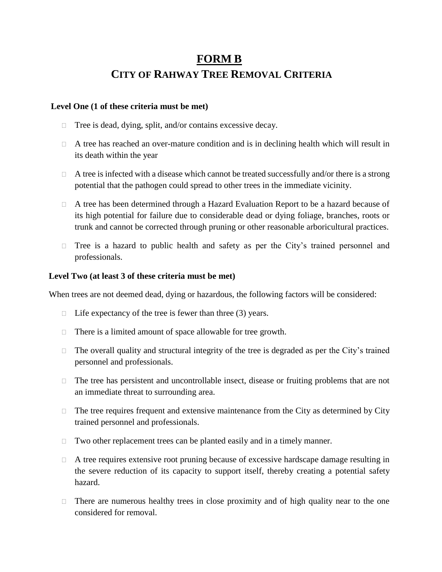# **FORM B CITY OF RAHWAY TREE REMOVAL CRITERIA**

#### **Level One (1 of these criteria must be met)**

- $\Box$  Tree is dead, dying, split, and/or contains excessive decay.
- $\Box$  A tree has reached an over-mature condition and is in declining health which will result in its death within the year
- $\Box$  A tree is infected with a disease which cannot be treated successfully and/or there is a strong potential that the pathogen could spread to other trees in the immediate vicinity.
- A tree has been determined through a Hazard Evaluation Report to be a hazard because of its high potential for failure due to considerable dead or dying foliage, branches, roots or trunk and cannot be corrected through pruning or other reasonable arboricultural practices.
- $\Box$  Tree is a hazard to public health and safety as per the City's trained personnel and professionals.

#### **Level Two (at least 3 of these criteria must be met)**

When trees are not deemed dead, dying or hazardous, the following factors will be considered:

- $\Box$  Life expectancy of the tree is fewer than three (3) years.
- $\Box$  There is a limited amount of space allowable for tree growth.
- $\Box$  The overall quality and structural integrity of the tree is degraded as per the City's trained personnel and professionals.
- $\Box$  The tree has persistent and uncontrollable insect, disease or fruiting problems that are not an immediate threat to surrounding area.
- $\Box$  The tree requires frequent and extensive maintenance from the City as determined by City trained personnel and professionals.
- $\Box$  Two other replacement trees can be planted easily and in a timely manner.
- $\Box$  A tree requires extensive root pruning because of excessive hardscape damage resulting in the severe reduction of its capacity to support itself, thereby creating a potential safety hazard.
- $\Box$  There are numerous healthy trees in close proximity and of high quality near to the one considered for removal.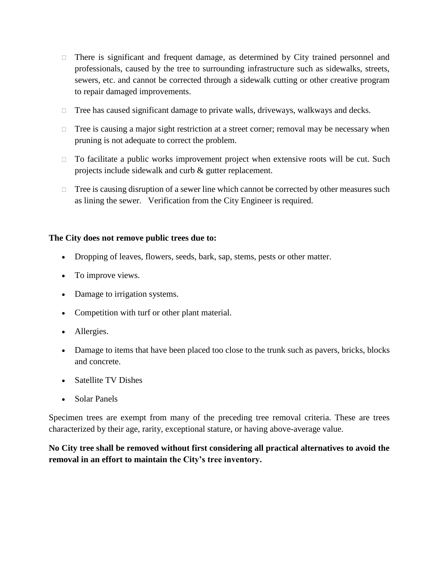- $\Box$  There is significant and frequent damage, as determined by City trained personnel and professionals, caused by the tree to surrounding infrastructure such as sidewalks, streets, sewers, etc. and cannot be corrected through a sidewalk cutting or other creative program to repair damaged improvements.
- $\Box$  Tree has caused significant damage to private walls, driveways, walkways and decks.
- $\Box$  Tree is causing a major sight restriction at a street corner; removal may be necessary when pruning is not adequate to correct the problem.
- $\Box$  To facilitate a public works improvement project when extensive roots will be cut. Such projects include sidewalk and curb & gutter replacement.
- $\Box$  Tree is causing disruption of a sewer line which cannot be corrected by other measures such as lining the sewer. Verification from the City Engineer is required.

#### **The City does not remove public trees due to:**

- Dropping of leaves, flowers, seeds, bark, sap, stems, pests or other matter.
- To improve views.
- Damage to irrigation systems.
- Competition with turf or other plant material.
- Allergies.
- Damage to items that have been placed too close to the trunk such as pavers, bricks, blocks and concrete.
- Satellite TV Dishes
- Solar Panels

Specimen trees are exempt from many of the preceding tree removal criteria. These are trees characterized by their age, rarity, exceptional stature, or having above-average value.

**No City tree shall be removed without first considering all practical alternatives to avoid the removal in an effort to maintain the City's tree inventory.**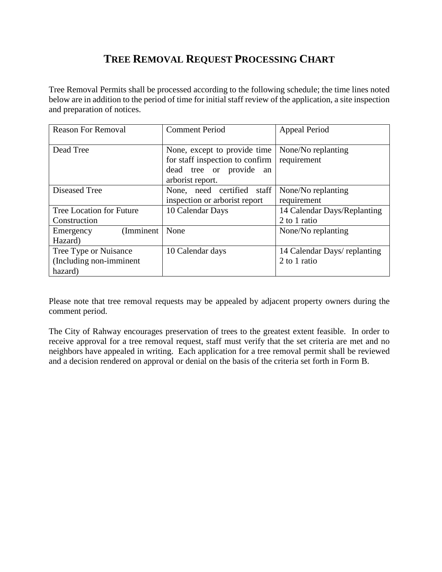# **TREE REMOVAL REQUEST PROCESSING CHART**

Tree Removal Permits shall be processed according to the following schedule; the time lines noted below are in addition to the period of time for initial staff review of the application, a site inspection and preparation of notices.

| <b>Reason For Removal</b>                                    | <b>Comment Period</b>                                                                                          | <b>Appeal Period</b>                         |
|--------------------------------------------------------------|----------------------------------------------------------------------------------------------------------------|----------------------------------------------|
| Dead Tree                                                    | None, except to provide time<br>for staff inspection to confirm<br>dead tree or provide an<br>arborist report. | None/No replanting<br>requirement            |
| <b>Diseased Tree</b>                                         | None, need certified staff<br>inspection or arborist report                                                    | None/No replanting<br>requirement            |
| Tree Location for Future<br>Construction                     | 10 Calendar Days                                                                                               | 14 Calendar Days/Replanting<br>2 to 1 ratio  |
| (Imminent)<br>Emergency<br>Hazard)                           | None                                                                                                           | None/No replanting                           |
| Tree Type or Nuisance<br>(Including non-imminent)<br>hazard) | 10 Calendar days                                                                                               | 14 Calendar Days/ replanting<br>2 to 1 ratio |

Please note that tree removal requests may be appealed by adjacent property owners during the comment period.

The City of Rahway encourages preservation of trees to the greatest extent feasible. In order to receive approval for a tree removal request, staff must verify that the set criteria are met and no neighbors have appealed in writing. Each application for a tree removal permit shall be reviewed and a decision rendered on approval or denial on the basis of the criteria set forth in Form B.